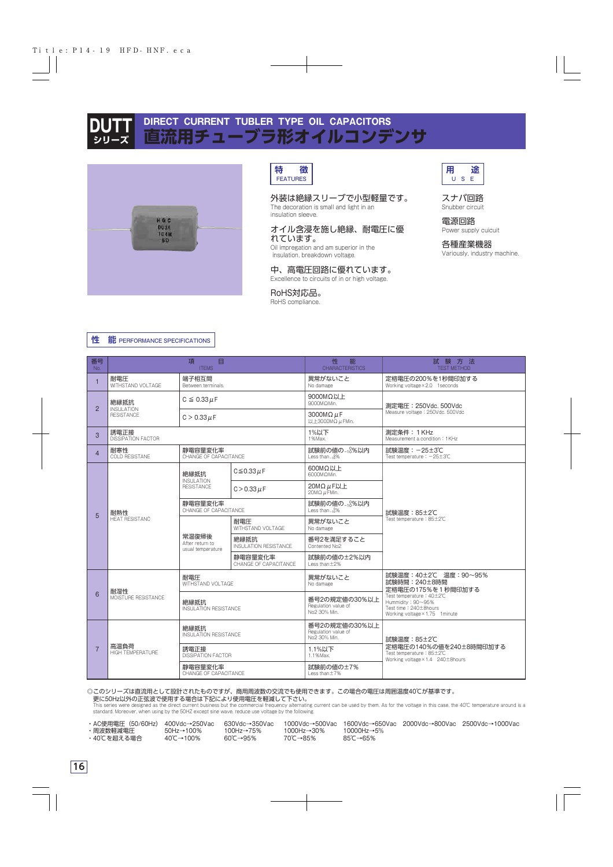



**特 徴** FEATURES

### 外装は絶縁スリーブで小型軽量です。

The decoration is small and light in an insulation sleeve.

#### オイル含浸を施し絶縁、耐電圧に優 れています。

Oil impregation and am superior in the insulation, breakdown voltage.

#### 中、高電圧回路に優れています。

Excellence to circuits of in or high voltage.

RoHS対応品。

RoHS compliance.



### スナバ回路 Snubber circuit

電源回路 Power supply cuicuit

各種産業機器 Variously, industry machine.

|  |  |  | 性 能 PERFORMANCE SPECIFICATIONS |
|--|--|--|--------------------------------|
|--|--|--|--------------------------------|

| 番号<br>No.      |                                        | 目<br>項<br><b>ITEMS</b>                        |                                      | 性<br>能<br><b>CHARACTERISTICS</b>                     | 試験方法<br><b>TEST METHOD</b>                                                                               |  |  |  |  |  |
|----------------|----------------------------------------|-----------------------------------------------|--------------------------------------|------------------------------------------------------|----------------------------------------------------------------------------------------------------------|--|--|--|--|--|
| $\mathbf{1}$   | 耐電圧<br>WITHSTAND VOLTAGE               | 端子相互間<br>Between terminals.                   |                                      | 異常がないこと<br>No damage                                 | 定格電圧の200%を1秒間印加する<br>Working voltage × 2.0 1 seconds                                                     |  |  |  |  |  |
| $\overline{2}$ | 絶縁抵抗                                   | $C \leq 0.33 \mu F$                           |                                      | 9000MΩ以上<br>9000MΩMin.                               | 測定電圧: 250Vdc. 500Vdc                                                                                     |  |  |  |  |  |
|                | <b>INSULATION</b><br><b>RESISTANCE</b> | $C > 0.33 \mu F$                              |                                      | 3000M $\Omega$ $\mu$ F<br>以上3000MΩ $\mu$ FMin.       | Measure voltage: 250Vdc. 500Vdc                                                                          |  |  |  |  |  |
| 3              | 誘電正接<br><b>DISSIPATION FACTOR</b>      |                                               |                                      | 1%以下<br>1%Max.                                       | 測定条件: 1KHz<br>Measurement a condition: 1KHz                                                              |  |  |  |  |  |
| $\overline{4}$ | 耐寒性<br><b>COLD RESISTANE</b>           | 静電容量変化率<br>CHANGE OF CAPACITANCE              |                                      | 試験前の値の - 18%以内<br>Less than $-10\%$                  | 試験温度: -25±3℃<br>Test temperature: $-25\pm3\degree$ C                                                     |  |  |  |  |  |
|                |                                        | 絶縁抵抗                                          | $C \le 0.33 \mu F$                   | 600MΩ以上<br>6000MΩMin.                                | 試験温度: 85±2℃<br>Test temperature: 85±2℃                                                                   |  |  |  |  |  |
|                | 耐熱性<br><b>HEAT RESISTANC</b>           | <b>INSULATION</b><br><b>RESISTANCE</b>        | $C > 0.33 \mu F$                     | 20MΩ μF以上<br>$20M\Omega \mu$ FMin.                   |                                                                                                          |  |  |  |  |  |
| 5              |                                        | 静電容量変化率<br>CHANGE OF CAPACITANCE              |                                      | 試験前の値の - : 8%以内<br>l ess than-18%                    |                                                                                                          |  |  |  |  |  |
|                |                                        |                                               | 耐電圧<br>WITHSTAND VOLTAGE             | 異常がないこと<br>No damage                                 |                                                                                                          |  |  |  |  |  |
|                |                                        | 常温復帰後<br>After return to<br>usual temperature | 絶縁抵抗<br><b>INSULATION RESISTANCE</b> | 番号2を満足すること<br>Contented No2                          |                                                                                                          |  |  |  |  |  |
|                |                                        |                                               | 静電容量変化率<br>CHANGE OF CAPACITANCE     | 試験前の値の±2%以内<br>Less than±2%                          |                                                                                                          |  |  |  |  |  |
| 6              | 耐湿性                                    | 耐電圧<br>WITHSTAND VOLTAGE                      |                                      | 異常がないこと<br>No damage                                 | 試験温度: 40±2℃ 温度: 90~95%<br>試験時間: 240±8時間<br>定格電圧の175%を1秒間印加する                                             |  |  |  |  |  |
|                | MOISTURE RESISTANCE                    | 絶縁抵抗<br><b>INSULATION RESISTANCE</b>          |                                      | 番号2の規定値の30%以上<br>Regulation value of<br>No2 30% Min. | Test temperature: 40±2℃<br>Hummidity: 90~95%<br>Test time: 240±8hours<br>Working voltage × 1.75 1 minute |  |  |  |  |  |
| $\overline{7}$ |                                        | 絶縁抵抗<br><b>INSULATION RESISTANCE</b>          |                                      | 番号2の規定値の30%以上<br>Regulation value of<br>No2 30% Min. | 試験温度: 85±2℃                                                                                              |  |  |  |  |  |
|                | 高温負荷<br><b>HIGH TEMPERATURE</b>        | 誘電正接<br>DISSIPATION FACTOR                    |                                      | 1.1%以下<br>1.1% Max.                                  | 定格電圧の140%の値を240±8時間印加する<br>Test temperature: 85±2℃<br>Working voltage × 1.4 240 ± 8 hours                |  |  |  |  |  |
|                |                                        | 静電容量変化率<br>CHANGE OF CAPACITANCE              |                                      | 試験前の値の±7%<br>Less than±7%                            |                                                                                                          |  |  |  |  |  |

◎このシリーズは直流用として設計されたものですが、商用周波数の交流でも使用できます。この場合の電圧は周囲温度40℃が基準です。 史に50Hz以外の正弦波で使用する場合は下記により使用電圧を軽減して下さい。<br>This series were designed as the direct current business but the commercial frequency alternating current can be used by them. As for the voltage in this case, the 40℃ temperature a

standard. Moreover, when using by the 50HZ except sine wave, reduce use voltage by the following.

• 40℃を超える場合

+ 400νας 250νας τουναστουργίας τουργάστου τουργάστου 400Hz→100% 1000Hz→5% 1000Hz<br>100Hz→100% 100Hz→75% 1000Hz→30% 10000Hz→5%

・AC使用電圧(50/60Hz) 400Vdc→250Vac 630Vdc→350Vac 1000Vdc→500Vac 1600Vdc→650Vac 2000Vdc→800Vac 2500Vdc→1000Vac<br>・周波数軽減電圧 50Hz→100% 100Hz→75% 1000Hz→30% 10000Hz→5%